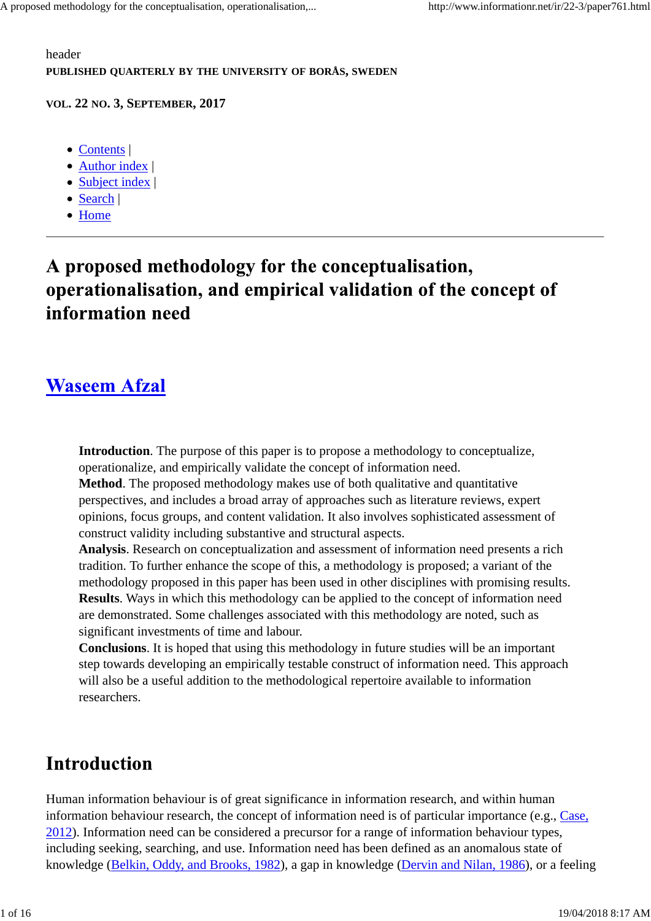header **PUBLISHED QUARTERLY BY THE UNIVERSITY OF BORÅS, SWEDEN**

#### **VOL. 22 NO. 3, SEPTEMBER, 2017**

- Contents |
- Author index |
- Subject index |
- Search |
- Home

## A proposed methodology for the conceptualisation, operationalisation, and empirical validation of the concept of information need

### **Waseem Afzal**

**Introduction**. The purpose of this paper is to propose a methodology to conceptualize, operationalize, and empirically validate the concept of information need.

**Method**. The proposed methodology makes use of both qualitative and quantitative perspectives, and includes a broad array of approaches such as literature reviews, expert opinions, focus groups, and content validation. It also involves sophisticated assessment of construct validity including substantive and structural aspects.

**Analysis**. Research on conceptualization and assessment of information need presents a rich tradition. To further enhance the scope of this, a methodology is proposed; a variant of the methodology proposed in this paper has been used in other disciplines with promising results. **Results**. Ways in which this methodology can be applied to the concept of information need are demonstrated. Some challenges associated with this methodology are noted, such as significant investments of time and labour.

**Conclusions**. It is hoped that using this methodology in future studies will be an important step towards developing an empirically testable construct of information need. This approach will also be a useful addition to the methodological repertoire available to information researchers.

## **Introduction**

Human information behaviour is of great significance in information research, and within human information behaviour research, the concept of information need is of particular importance (e.g., Case, 2012). Information need can be considered a precursor for a range of information behaviour types, including seeking, searching, and use. Information need has been defined as an anomalous state of knowledge (Belkin, Oddy, and Brooks, 1982), a gap in knowledge (Dervin and Nilan, 1986), or a feeling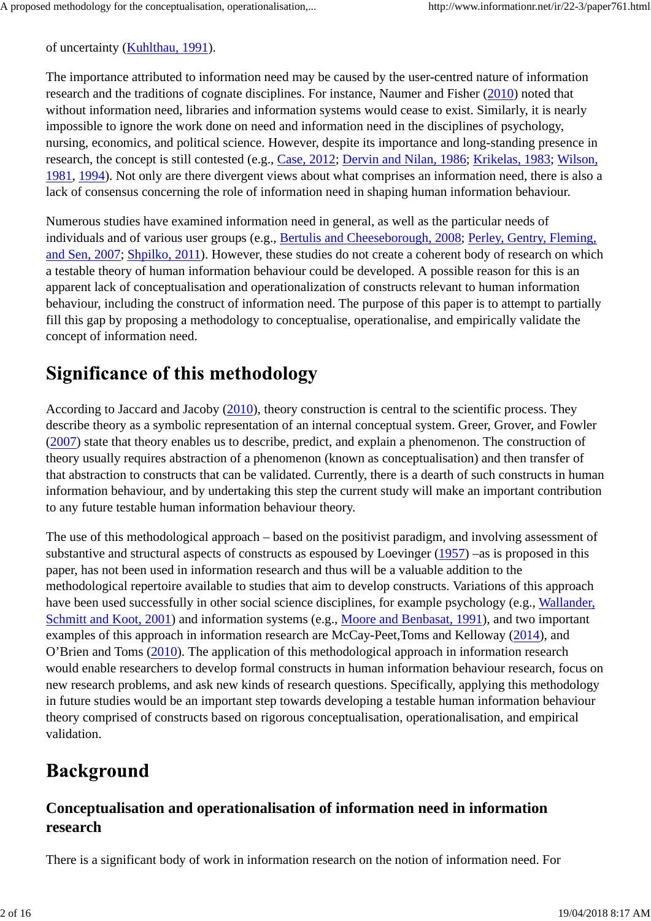of uncertainty (Kuhlthau, 1991).

The importance attributed to information need may be caused by the user-centred nature of information research and the traditions of cognate disciplines. For instance, Naumer and Fisher (2010) noted that without information need, libraries and information systems would cease to exist. Similarly, it is nearly impossible to ignore the work done on need and information need in the disciplines of psychology, nursing, economics, and political science. However, despite its importance and long-standing presence in research, the concept is still contested (e.g., Case, 2012; Dervin and Nilan, 1986; Krikelas, 1983; Wilson, 1981, 1994). Not only are there divergent views about what comprises an information need, there is also a lack of consensus concerning the role of information need in shaping human information behaviour.

Numerous studies have examined information need in general, as well as the particular needs of individuals and of various user groups (e.g., Bertulis and Cheeseborough, 2008; Perley, Gentry, Fleming, and Sen, 2007; Shpilko, 2011). However, these studies do not create a coherent body of research on which a testable theory of human information behaviour could be developed. A possible reason for this is an apparent lack of conceptualisation and operationalization of constructs relevant to human information behaviour, including the construct of information need. The purpose of this paper is to attempt to partially fill this gap by proposing a methodology to conceptualise, operationalise, and empirically validate the concept of information need.

## **Significance of this methodology**

According to Jaccard and Jacoby (2010), theory construction is central to the scientific process. They describe theory as a symbolic representation of an internal conceptual system. Greer, Grover, and Fowler (2007) state that theory enables us to describe, predict, and explain a phenomenon. The construction of theory usually requires abstraction of a phenomenon (known as conceptualisation) and then transfer of that abstraction to constructs that can be validated. Currently, there is a dearth of such constructs in human information behaviour, and by undertaking this step the current study will make an important contribution to any future testable human information behaviour theory.

The use of this methodological approach – based on the positivist paradigm, and involving assessment of substantive and structural aspects of constructs as espoused by Loevinger (1957) –as is proposed in this paper, has not been used in information research and thus will be a valuable addition to the methodological repertoire available to studies that aim to develop constructs. Variations of this approach have been used successfully in other social science disciplines, for example psychology (e.g., Wallander, Schmitt and Koot, 2001) and information systems (e.g., Moore and Benbasat, 1991), and two important examples of this approach in information research are McCay-Peet,Toms and Kelloway (2014), and O'Brien and Toms (2010). The application of this methodological approach in information research would enable researchers to develop formal constructs in human information behaviour research, focus on new research problems, and ask new kinds of research questions. Specifically, applying this methodology in future studies would be an important step towards developing a testable human information behaviour theory comprised of constructs based on rigorous conceptualisation, operationalisation, and empirical validation.

# **Background**

### **Conceptualisation and operationalisation of information need in information research**

There is a significant body of work in information research on the notion of information need. For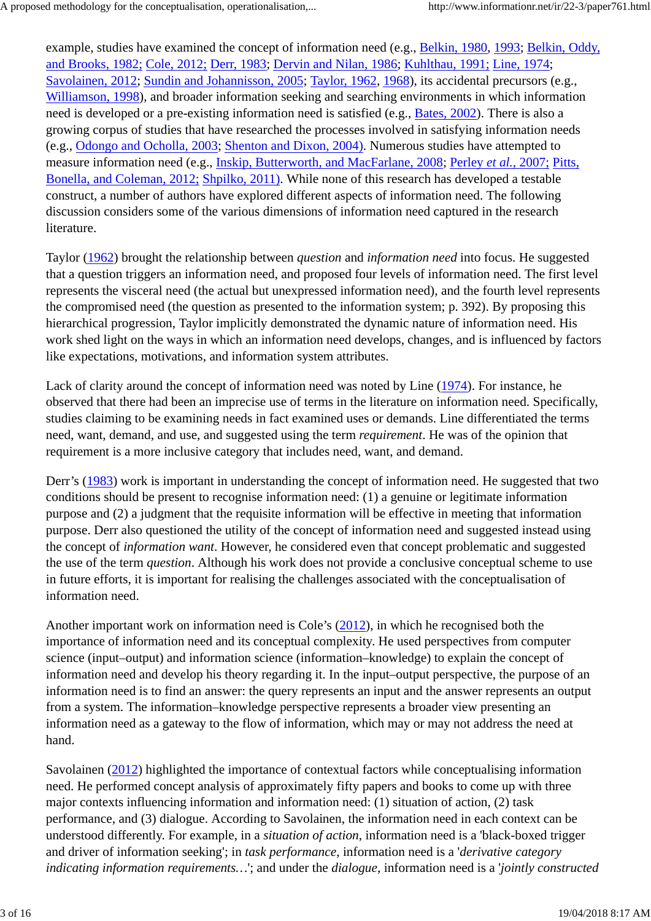example, studies have examined the concept of information need (e.g., Belkin, 1980, 1993; Belkin, Oddy, and Brooks, 1982; Cole, 2012; Derr, 1983; Dervin and Nilan, 1986; Kuhlthau, 1991; Line, 1974; Savolainen, 2012; Sundin and Johannisson, 2005; Taylor, 1962, 1968), its accidental precursors (e.g., Williamson, 1998), and broader information seeking and searching environments in which information need is developed or a pre-existing information need is satisfied (e.g., Bates, 2002). There is also a growing corpus of studies that have researched the processes involved in satisfying information needs (e.g., Odongo and Ocholla, 2003; Shenton and Dixon, 2004). Numerous studies have attempted to measure information need (e.g., Inskip, Butterworth, and MacFarlane, 2008; Perley *et al.*, 2007; Pitts, Bonella, and Coleman, 2012; Shpilko, 2011). While none of this research has developed a testable construct, a number of authors have explored different aspects of information need. The following discussion considers some of the various dimensions of information need captured in the research literature.

Taylor (1962) brought the relationship between *question* and *information need* into focus. He suggested that a question triggers an information need, and proposed four levels of information need. The first level represents the visceral need (the actual but unexpressed information need), and the fourth level represents the compromised need (the question as presented to the information system; p. 392). By proposing this hierarchical progression, Taylor implicitly demonstrated the dynamic nature of information need. His work shed light on the ways in which an information need develops, changes, and is influenced by factors like expectations, motivations, and information system attributes.

Lack of clarity around the concept of information need was noted by Line (1974). For instance, he observed that there had been an imprecise use of terms in the literature on information need. Specifically, studies claiming to be examining needs in fact examined uses or demands. Line differentiated the terms need, want, demand, and use, and suggested using the term *requirement*. He was of the opinion that requirement is a more inclusive category that includes need, want, and demand.

Derr's (1983) work is important in understanding the concept of information need. He suggested that two conditions should be present to recognise information need: (1) a genuine or legitimate information purpose and (2) a judgment that the requisite information will be effective in meeting that information purpose. Derr also questioned the utility of the concept of information need and suggested instead using the concept of *information want*. However, he considered even that concept problematic and suggested the use of the term *question*. Although his work does not provide a conclusive conceptual scheme to use in future efforts, it is important for realising the challenges associated with the conceptualisation of information need.

Another important work on information need is Cole's (2012), in which he recognised both the importance of information need and its conceptual complexity. He used perspectives from computer science (input–output) and information science (information–knowledge) to explain the concept of information need and develop his theory regarding it. In the input–output perspective, the purpose of an information need is to find an answer: the query represents an input and the answer represents an output from a system. The information–knowledge perspective represents a broader view presenting an information need as a gateway to the flow of information, which may or may not address the need at hand.

Savolainen (2012) highlighted the importance of contextual factors while conceptualising information need. He performed concept analysis of approximately fifty papers and books to come up with three major contexts influencing information and information need: (1) situation of action, (2) task performance, and (3) dialogue. According to Savolainen, the information need in each context can be understood differently. For example, in a *situation of action*, information need is a 'black-boxed trigger and driver of information seeking'; in *task performance*, information need is a '*derivative category indicating information requirements…*'; and under the *dialogue*, information need is a '*jointly constructed*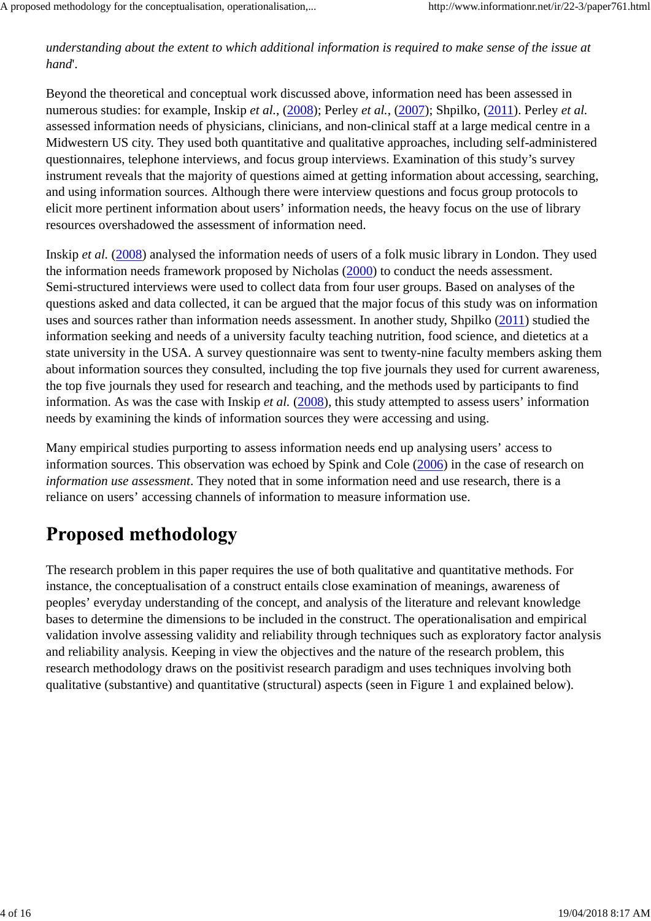*understanding about the extent to which additional information is required to make sense of the issue at hand*'.

Beyond the theoretical and conceptual work discussed above, information need has been assessed in numerous studies: for example, Inskip *et al.*, (2008); Perley *et al.*, (2007); Shpilko, (2011). Perley *et al.* assessed information needs of physicians, clinicians, and non-clinical staff at a large medical centre in a Midwestern US city. They used both quantitative and qualitative approaches, including self-administered questionnaires, telephone interviews, and focus group interviews. Examination of this study's survey instrument reveals that the majority of questions aimed at getting information about accessing, searching, and using information sources. Although there were interview questions and focus group protocols to elicit more pertinent information about users' information needs, the heavy focus on the use of library resources overshadowed the assessment of information need.

Inskip *et al.* (2008) analysed the information needs of users of a folk music library in London. They used the information needs framework proposed by Nicholas (2000) to conduct the needs assessment. Semi-structured interviews were used to collect data from four user groups. Based on analyses of the questions asked and data collected, it can be argued that the major focus of this study was on information uses and sources rather than information needs assessment. In another study, Shpilko (2011) studied the information seeking and needs of a university faculty teaching nutrition, food science, and dietetics at a state university in the USA. A survey questionnaire was sent to twenty-nine faculty members asking them about information sources they consulted, including the top five journals they used for current awareness, the top five journals they used for research and teaching, and the methods used by participants to find information. As was the case with Inskip *et al.* (2008), this study attempted to assess users' information needs by examining the kinds of information sources they were accessing and using.

Many empirical studies purporting to assess information needs end up analysing users' access to information sources. This observation was echoed by Spink and Cole (2006) in the case of research on *information use assessment*. They noted that in some information need and use research, there is a reliance on users' accessing channels of information to measure information use.

# **Proposed methodology**

The research problem in this paper requires the use of both qualitative and quantitative methods. For instance, the conceptualisation of a construct entails close examination of meanings, awareness of peoples' everyday understanding of the concept, and analysis of the literature and relevant knowledge bases to determine the dimensions to be included in the construct. The operationalisation and empirical validation involve assessing validity and reliability through techniques such as exploratory factor analysis and reliability analysis. Keeping in view the objectives and the nature of the research problem, this research methodology draws on the positivist research paradigm and uses techniques involving both qualitative (substantive) and quantitative (structural) aspects (seen in Figure 1 and explained below).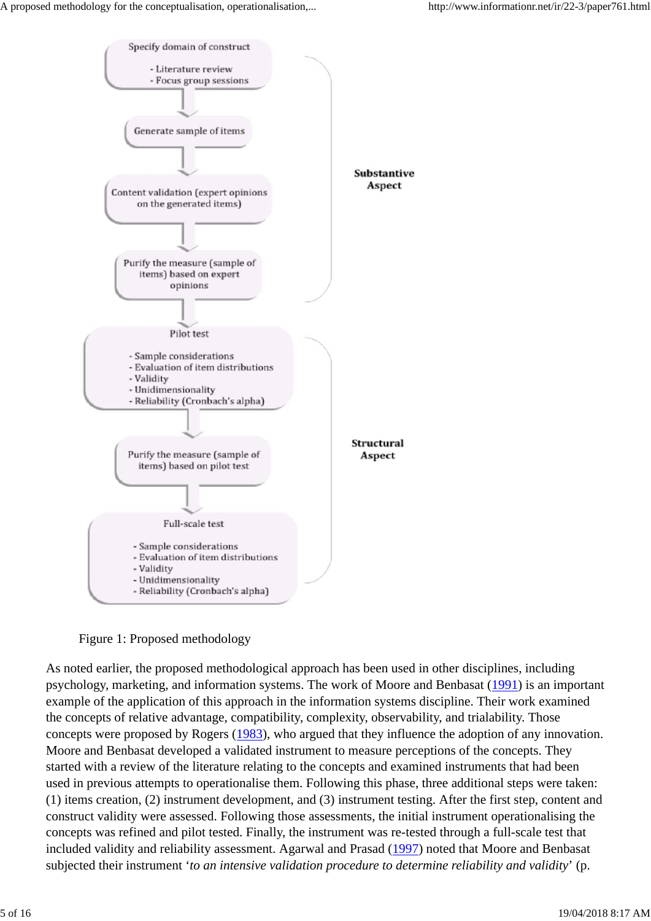

Figure 1: Proposed methodology

As noted earlier, the proposed methodological approach has been used in other disciplines, including psychology, marketing, and information systems. The work of Moore and Benbasat (1991) is an important example of the application of this approach in the information systems discipline. Their work examined the concepts of relative advantage, compatibility, complexity, observability, and trialability. Those concepts were proposed by Rogers (1983), who argued that they influence the adoption of any innovation. Moore and Benbasat developed a validated instrument to measure perceptions of the concepts. They started with a review of the literature relating to the concepts and examined instruments that had been used in previous attempts to operationalise them. Following this phase, three additional steps were taken: (1) items creation, (2) instrument development, and (3) instrument testing. After the first step, content and construct validity were assessed. Following those assessments, the initial instrument operationalising the concepts was refined and pilot tested. Finally, the instrument was re-tested through a full-scale test that included validity and reliability assessment. Agarwal and Prasad (1997) noted that Moore and Benbasat subjected their instrument '*to an intensive validation procedure to determine reliability and validity*' (p.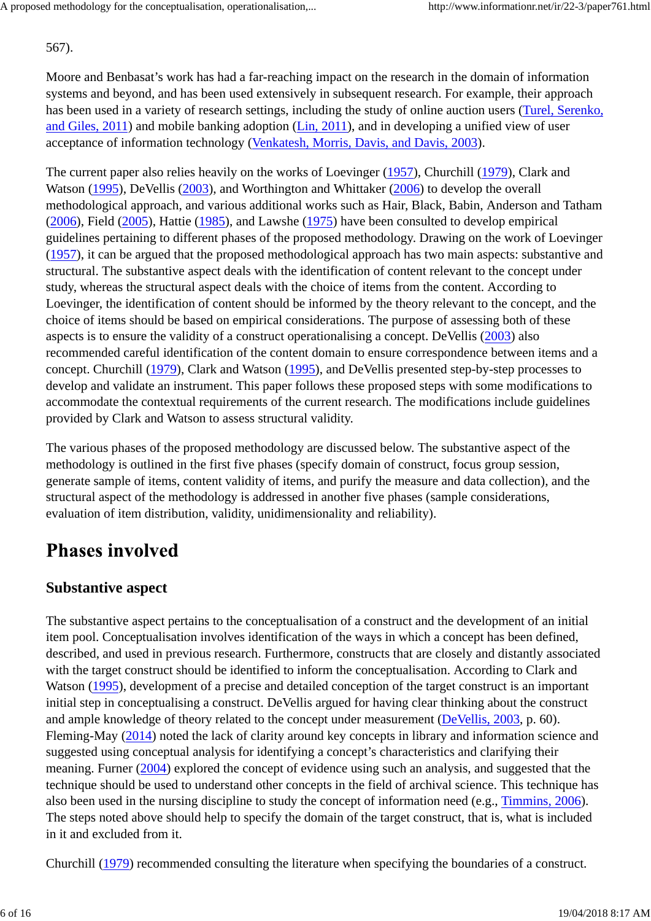567).

Moore and Benbasat's work has had a far-reaching impact on the research in the domain of information systems and beyond, and has been used extensively in subsequent research. For example, their approach has been used in a variety of research settings, including the study of online auction users (Turel, Serenko, and Giles, 2011) and mobile banking adoption (Lin, 2011), and in developing a unified view of user acceptance of information technology (Venkatesh, Morris, Davis, and Davis, 2003).

The current paper also relies heavily on the works of Loevinger (1957), Churchill (1979), Clark and Watson (1995), DeVellis (2003), and Worthington and Whittaker (2006) to develop the overall methodological approach, and various additional works such as Hair, Black, Babin, Anderson and Tatham (2006), Field (2005), Hattie (1985), and Lawshe (1975) have been consulted to develop empirical guidelines pertaining to different phases of the proposed methodology. Drawing on the work of Loevinger (1957), it can be argued that the proposed methodological approach has two main aspects: substantive and structural. The substantive aspect deals with the identification of content relevant to the concept under study, whereas the structural aspect deals with the choice of items from the content. According to Loevinger, the identification of content should be informed by the theory relevant to the concept, and the choice of items should be based on empirical considerations. The purpose of assessing both of these aspects is to ensure the validity of a construct operationalising a concept. DeVellis (2003) also recommended careful identification of the content domain to ensure correspondence between items and a concept. Churchill (1979), Clark and Watson (1995), and DeVellis presented step-by-step processes to develop and validate an instrument. This paper follows these proposed steps with some modifications to accommodate the contextual requirements of the current research. The modifications include guidelines provided by Clark and Watson to assess structural validity.

The various phases of the proposed methodology are discussed below. The substantive aspect of the methodology is outlined in the first five phases (specify domain of construct, focus group session, generate sample of items, content validity of items, and purify the measure and data collection), and the structural aspect of the methodology is addressed in another five phases (sample considerations, evaluation of item distribution, validity, unidimensionality and reliability).

# **Phases involved**

### **Substantive aspect**

The substantive aspect pertains to the conceptualisation of a construct and the development of an initial item pool. Conceptualisation involves identification of the ways in which a concept has been defined, described, and used in previous research. Furthermore, constructs that are closely and distantly associated with the target construct should be identified to inform the conceptualisation. According to Clark and Watson (1995), development of a precise and detailed conception of the target construct is an important initial step in conceptualising a construct. DeVellis argued for having clear thinking about the construct and ample knowledge of theory related to the concept under measurement (DeVellis, 2003, p. 60). Fleming-May (2014) noted the lack of clarity around key concepts in library and information science and suggested using conceptual analysis for identifying a concept's characteristics and clarifying their meaning. Furner (2004) explored the concept of evidence using such an analysis, and suggested that the technique should be used to understand other concepts in the field of archival science. This technique has also been used in the nursing discipline to study the concept of information need (e.g., Timmins, 2006). The steps noted above should help to specify the domain of the target construct, that is, what is included in it and excluded from it.

Churchill (1979) recommended consulting the literature when specifying the boundaries of a construct.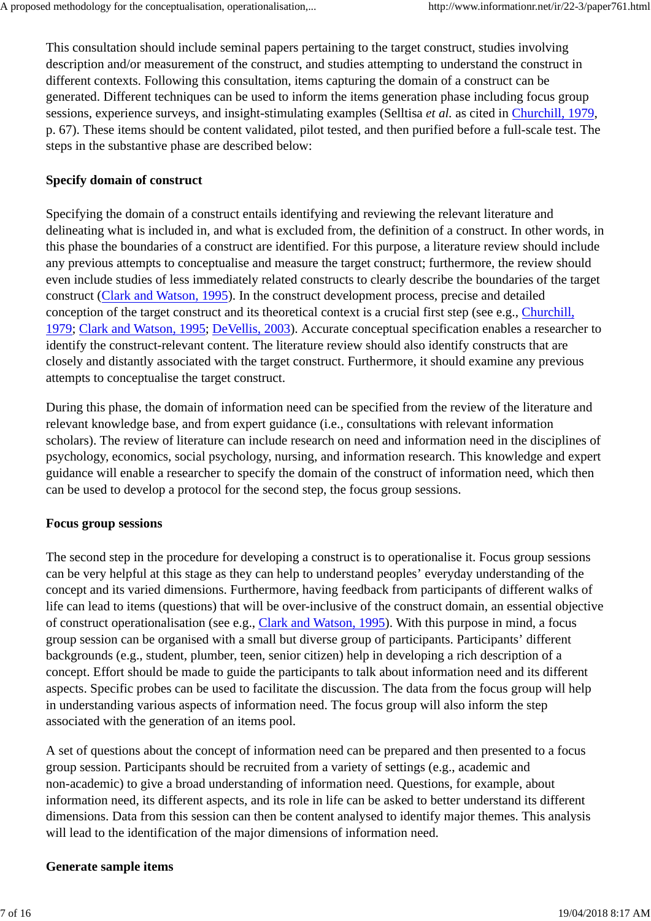This consultation should include seminal papers pertaining to the target construct, studies involving description and/or measurement of the construct, and studies attempting to understand the construct in different contexts. Following this consultation, items capturing the domain of a construct can be generated. Different techniques can be used to inform the items generation phase including focus group sessions, experience surveys, and insight-stimulating examples (Selltisa *et al.* as cited in Churchill, 1979, p. 67). These items should be content validated, pilot tested, and then purified before a full-scale test. The steps in the substantive phase are described below:

#### **Specify domain of construct**

Specifying the domain of a construct entails identifying and reviewing the relevant literature and delineating what is included in, and what is excluded from, the definition of a construct. In other words, in this phase the boundaries of a construct are identified. For this purpose, a literature review should include any previous attempts to conceptualise and measure the target construct; furthermore, the review should even include studies of less immediately related constructs to clearly describe the boundaries of the target construct (Clark and Watson, 1995). In the construct development process, precise and detailed conception of the target construct and its theoretical context is a crucial first step (see e.g., Churchill, 1979; Clark and Watson, 1995; DeVellis, 2003). Accurate conceptual specification enables a researcher to identify the construct-relevant content. The literature review should also identify constructs that are closely and distantly associated with the target construct. Furthermore, it should examine any previous attempts to conceptualise the target construct.

During this phase, the domain of information need can be specified from the review of the literature and relevant knowledge base, and from expert guidance (i.e., consultations with relevant information scholars). The review of literature can include research on need and information need in the disciplines of psychology, economics, social psychology, nursing, and information research. This knowledge and expert guidance will enable a researcher to specify the domain of the construct of information need, which then can be used to develop a protocol for the second step, the focus group sessions.

#### **Focus group sessions**

The second step in the procedure for developing a construct is to operationalise it. Focus group sessions can be very helpful at this stage as they can help to understand peoples' everyday understanding of the concept and its varied dimensions. Furthermore, having feedback from participants of different walks of life can lead to items (questions) that will be over-inclusive of the construct domain, an essential objective of construct operationalisation (see e.g., Clark and Watson, 1995). With this purpose in mind, a focus group session can be organised with a small but diverse group of participants. Participants' different backgrounds (e.g., student, plumber, teen, senior citizen) help in developing a rich description of a concept. Effort should be made to guide the participants to talk about information need and its different aspects. Specific probes can be used to facilitate the discussion. The data from the focus group will help in understanding various aspects of information need. The focus group will also inform the step associated with the generation of an items pool.

A set of questions about the concept of information need can be prepared and then presented to a focus group session. Participants should be recruited from a variety of settings (e.g., academic and non-academic) to give a broad understanding of information need. Questions, for example, about information need, its different aspects, and its role in life can be asked to better understand its different dimensions. Data from this session can then be content analysed to identify major themes. This analysis will lead to the identification of the major dimensions of information need.

#### **Generate sample items**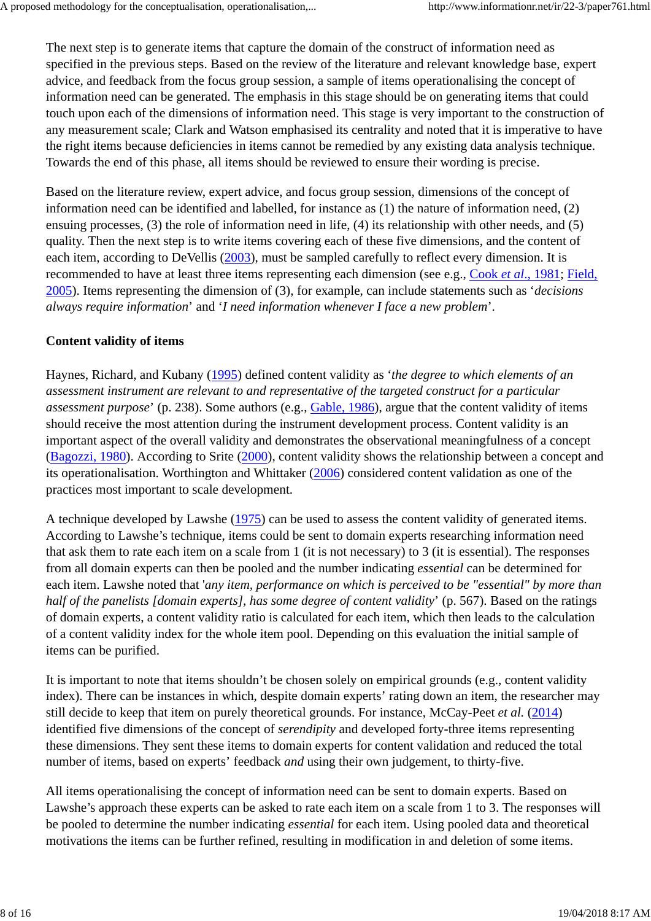The next step is to generate items that capture the domain of the construct of information need as specified in the previous steps. Based on the review of the literature and relevant knowledge base, expert advice, and feedback from the focus group session, a sample of items operationalising the concept of information need can be generated. The emphasis in this stage should be on generating items that could touch upon each of the dimensions of information need. This stage is very important to the construction of any measurement scale; Clark and Watson emphasised its centrality and noted that it is imperative to have the right items because deficiencies in items cannot be remedied by any existing data analysis technique. Towards the end of this phase, all items should be reviewed to ensure their wording is precise.

Based on the literature review, expert advice, and focus group session, dimensions of the concept of information need can be identified and labelled, for instance as (1) the nature of information need, (2) ensuing processes, (3) the role of information need in life, (4) its relationship with other needs, and (5) quality. Then the next step is to write items covering each of these five dimensions, and the content of each item, according to DeVellis (2003), must be sampled carefully to reflect every dimension. It is recommended to have at least three items representing each dimension (see e.g., Cook *et al*., 1981; Field, 2005). Items representing the dimension of (3), for example, can include statements such as '*decisions always require information*' and '*I need information whenever I face a new problem*'.

#### **Content validity of items**

Haynes, Richard, and Kubany (1995) defined content validity as '*the degree to which elements of an assessment instrument are relevant to and representative of the targeted construct for a particular assessment purpose*' (p. 238). Some authors (e.g., Gable, 1986), argue that the content validity of items should receive the most attention during the instrument development process. Content validity is an important aspect of the overall validity and demonstrates the observational meaningfulness of a concept (Bagozzi, 1980). According to Srite (2000), content validity shows the relationship between a concept and its operationalisation. Worthington and Whittaker (2006) considered content validation as one of the practices most important to scale development.

A technique developed by Lawshe (1975) can be used to assess the content validity of generated items. According to Lawshe's technique, items could be sent to domain experts researching information need that ask them to rate each item on a scale from 1 (it is not necessary) to 3 (it is essential). The responses from all domain experts can then be pooled and the number indicating *essential* can be determined for each item. Lawshe noted that '*any item, performance on which is perceived to be "essential" by more than half of the panelists [domain experts], has some degree of content validity*' (p. 567). Based on the ratings of domain experts, a content validity ratio is calculated for each item, which then leads to the calculation of a content validity index for the whole item pool. Depending on this evaluation the initial sample of items can be purified.

It is important to note that items shouldn't be chosen solely on empirical grounds (e.g., content validity index). There can be instances in which, despite domain experts' rating down an item, the researcher may still decide to keep that item on purely theoretical grounds. For instance, McCay-Peet *et al.* (2014) identified five dimensions of the concept of *serendipity* and developed forty-three items representing these dimensions. They sent these items to domain experts for content validation and reduced the total number of items, based on experts' feedback *and* using their own judgement, to thirty-five.

All items operationalising the concept of information need can be sent to domain experts. Based on Lawshe's approach these experts can be asked to rate each item on a scale from 1 to 3. The responses will be pooled to determine the number indicating *essential* for each item. Using pooled data and theoretical motivations the items can be further refined, resulting in modification in and deletion of some items.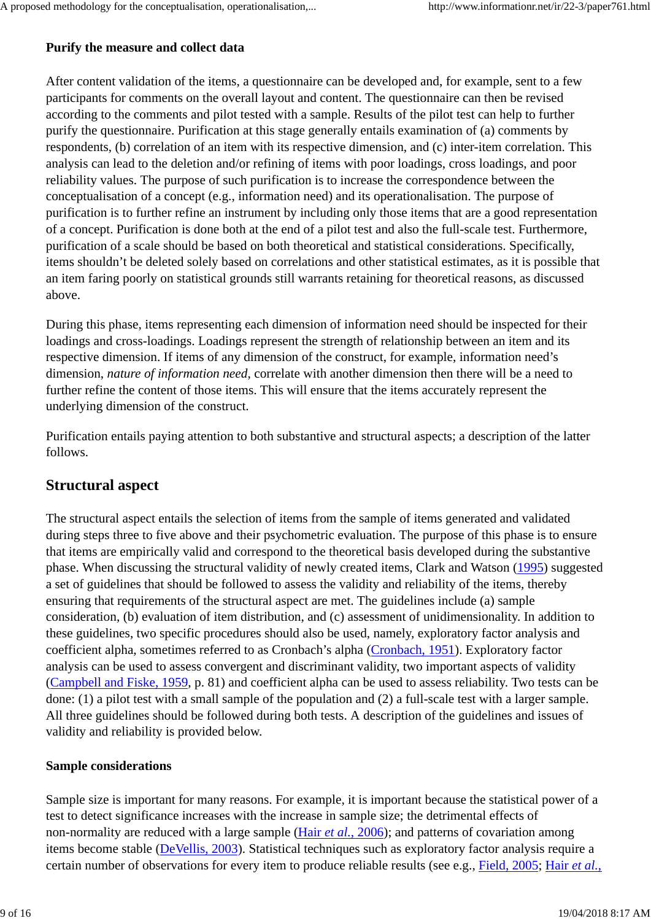#### **Purify the measure and collect data**

After content validation of the items, a questionnaire can be developed and, for example, sent to a few participants for comments on the overall layout and content. The questionnaire can then be revised according to the comments and pilot tested with a sample. Results of the pilot test can help to further purify the questionnaire. Purification at this stage generally entails examination of (a) comments by respondents, (b) correlation of an item with its respective dimension, and (c) inter-item correlation. This analysis can lead to the deletion and/or refining of items with poor loadings, cross loadings, and poor reliability values. The purpose of such purification is to increase the correspondence between the conceptualisation of a concept (e.g., information need) and its operationalisation. The purpose of purification is to further refine an instrument by including only those items that are a good representation of a concept. Purification is done both at the end of a pilot test and also the full-scale test. Furthermore, purification of a scale should be based on both theoretical and statistical considerations. Specifically, items shouldn't be deleted solely based on correlations and other statistical estimates, as it is possible that an item faring poorly on statistical grounds still warrants retaining for theoretical reasons, as discussed above.

During this phase, items representing each dimension of information need should be inspected for their loadings and cross-loadings. Loadings represent the strength of relationship between an item and its respective dimension. If items of any dimension of the construct, for example, information need's dimension, *nature of information need*, correlate with another dimension then there will be a need to further refine the content of those items. This will ensure that the items accurately represent the underlying dimension of the construct.

Purification entails paying attention to both substantive and structural aspects; a description of the latter follows.

### **Structural aspect**

The structural aspect entails the selection of items from the sample of items generated and validated during steps three to five above and their psychometric evaluation. The purpose of this phase is to ensure that items are empirically valid and correspond to the theoretical basis developed during the substantive phase. When discussing the structural validity of newly created items, Clark and Watson (1995) suggested a set of guidelines that should be followed to assess the validity and reliability of the items, thereby ensuring that requirements of the structural aspect are met. The guidelines include (a) sample consideration, (b) evaluation of item distribution, and (c) assessment of unidimensionality. In addition to these guidelines, two specific procedures should also be used, namely, exploratory factor analysis and coefficient alpha, sometimes referred to as Cronbach's alpha (Cronbach, 1951). Exploratory factor analysis can be used to assess convergent and discriminant validity, two important aspects of validity (Campbell and Fiske, 1959, p. 81) and coefficient alpha can be used to assess reliability. Two tests can be done: (1) a pilot test with a small sample of the population and (2) a full-scale test with a larger sample. All three guidelines should be followed during both tests. A description of the guidelines and issues of validity and reliability is provided below.

#### **Sample considerations**

Sample size is important for many reasons. For example, it is important because the statistical power of a test to detect significance increases with the increase in sample size; the detrimental effects of non-normality are reduced with a large sample (Hair *et al.*, 2006); and patterns of covariation among items become stable (DeVellis, 2003). Statistical techniques such as exploratory factor analysis require a certain number of observations for every item to produce reliable results (see e.g., Field, 2005; Hair *et al.*,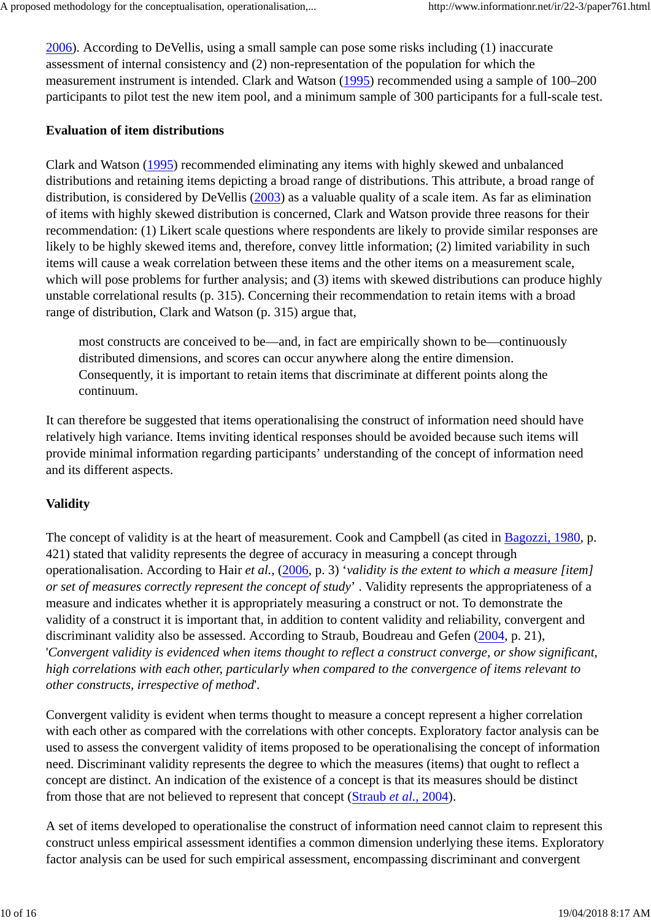2006). According to DeVellis, using a small sample can pose some risks including (1) inaccurate assessment of internal consistency and (2) non-representation of the population for which the measurement instrument is intended. Clark and Watson (1995) recommended using a sample of 100–200 participants to pilot test the new item pool, and a minimum sample of 300 participants for a full-scale test.

#### **Evaluation of item distributions**

Clark and Watson (1995) recommended eliminating any items with highly skewed and unbalanced distributions and retaining items depicting a broad range of distributions. This attribute, a broad range of distribution, is considered by DeVellis (2003) as a valuable quality of a scale item. As far as elimination of items with highly skewed distribution is concerned, Clark and Watson provide three reasons for their recommendation: (1) Likert scale questions where respondents are likely to provide similar responses are likely to be highly skewed items and, therefore, convey little information; (2) limited variability in such items will cause a weak correlation between these items and the other items on a measurement scale, which will pose problems for further analysis; and (3) items with skewed distributions can produce highly unstable correlational results (p. 315). Concerning their recommendation to retain items with a broad range of distribution, Clark and Watson (p. 315) argue that,

most constructs are conceived to be—and, in fact are empirically shown to be—continuously distributed dimensions, and scores can occur anywhere along the entire dimension. Consequently, it is important to retain items that discriminate at different points along the continuum.

It can therefore be suggested that items operationalising the construct of information need should have relatively high variance. Items inviting identical responses should be avoided because such items will provide minimal information regarding participants' understanding of the concept of information need and its different aspects.

#### **Validity**

The concept of validity is at the heart of measurement. Cook and Campbell (as cited in Bagozzi, 1980, p. 421) stated that validity represents the degree of accuracy in measuring a concept through operationalisation. According to Hair *et al.*, (2006, p. 3) '*validity is the extent to which a measure [item] or set of measures correctly represent the concept of study*' . Validity represents the appropriateness of a measure and indicates whether it is appropriately measuring a construct or not. To demonstrate the validity of a construct it is important that, in addition to content validity and reliability, convergent and discriminant validity also be assessed. According to Straub, Boudreau and Gefen (2004, p. 21), '*Convergent validity is evidenced when items thought to reflect a construct converge, or show significant, high correlations with each other, particularly when compared to the convergence of items relevant to other constructs, irrespective of method*'.

Convergent validity is evident when terms thought to measure a concept represent a higher correlation with each other as compared with the correlations with other concepts. Exploratory factor analysis can be used to assess the convergent validity of items proposed to be operationalising the concept of information need. Discriminant validity represents the degree to which the measures (items) that ought to reflect a concept are distinct. An indication of the existence of a concept is that its measures should be distinct from those that are not believed to represent that concept (Straub *et al.*, 2004).

A set of items developed to operationalise the construct of information need cannot claim to represent this construct unless empirical assessment identifies a common dimension underlying these items. Exploratory factor analysis can be used for such empirical assessment, encompassing discriminant and convergent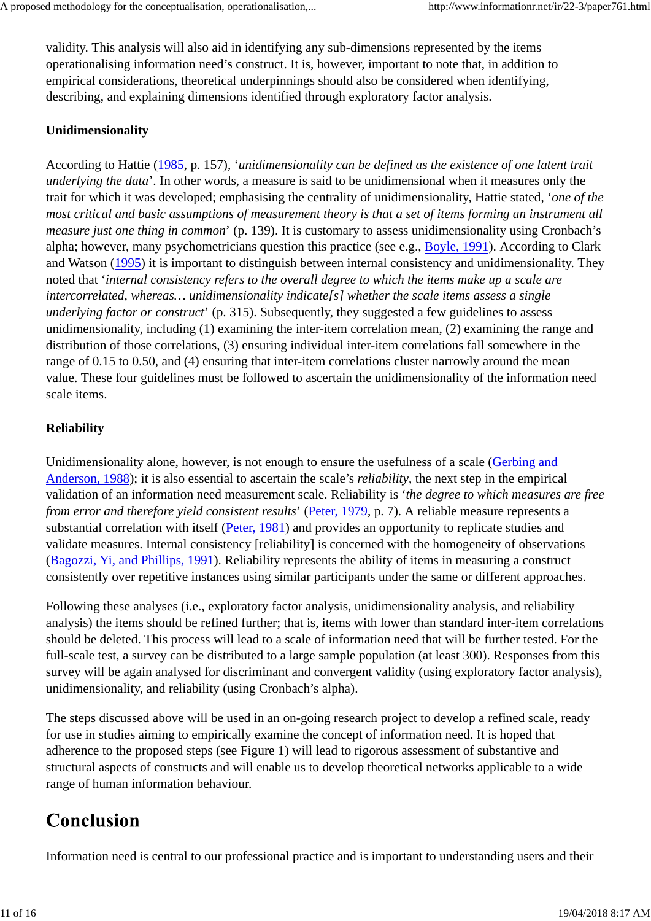validity. This analysis will also aid in identifying any sub-dimensions represented by the items operationalising information need's construct. It is, however, important to note that, in addition to empirical considerations, theoretical underpinnings should also be considered when identifying, describing, and explaining dimensions identified through exploratory factor analysis.

#### **Unidimensionality**

According to Hattie (1985, p. 157), '*unidimensionality can be defined as the existence of one latent trait underlying the data*'. In other words, a measure is said to be unidimensional when it measures only the trait for which it was developed; emphasising the centrality of unidimensionality, Hattie stated, '*one of the most critical and basic assumptions of measurement theory is that a set of items forming an instrument all measure just one thing in common*' (p. 139). It is customary to assess unidimensionality using Cronbach's alpha; however, many psychometricians question this practice (see e.g., Boyle, 1991). According to Clark and Watson (1995) it is important to distinguish between internal consistency and unidimensionality. They noted that '*internal consistency refers to the overall degree to which the items make up a scale are intercorrelated, whereas… unidimensionality indicate[s] whether the scale items assess a single underlying factor or construct*' (p. 315). Subsequently, they suggested a few guidelines to assess unidimensionality, including (1) examining the inter-item correlation mean, (2) examining the range and distribution of those correlations, (3) ensuring individual inter-item correlations fall somewhere in the range of 0.15 to 0.50, and (4) ensuring that inter-item correlations cluster narrowly around the mean value. These four guidelines must be followed to ascertain the unidimensionality of the information need scale items.

#### **Reliability**

Unidimensionality alone, however, is not enough to ensure the usefulness of a scale (Gerbing and Anderson, 1988); it is also essential to ascertain the scale's *reliability*, the next step in the empirical validation of an information need measurement scale. Reliability is '*the degree to which measures are free from error and therefore yield consistent results*' (Peter, 1979, p. 7). A reliable measure represents a substantial correlation with itself (Peter, 1981) and provides an opportunity to replicate studies and validate measures. Internal consistency [reliability] is concerned with the homogeneity of observations (Bagozzi, Yi, and Phillips, 1991). Reliability represents the ability of items in measuring a construct consistently over repetitive instances using similar participants under the same or different approaches.

Following these analyses (i.e., exploratory factor analysis, unidimensionality analysis, and reliability analysis) the items should be refined further; that is, items with lower than standard inter-item correlations should be deleted. This process will lead to a scale of information need that will be further tested. For the full-scale test, a survey can be distributed to a large sample population (at least 300). Responses from this survey will be again analysed for discriminant and convergent validity (using exploratory factor analysis), unidimensionality, and reliability (using Cronbach's alpha).

The steps discussed above will be used in an on-going research project to develop a refined scale, ready for use in studies aiming to empirically examine the concept of information need. It is hoped that adherence to the proposed steps (see Figure 1) will lead to rigorous assessment of substantive and structural aspects of constructs and will enable us to develop theoretical networks applicable to a wide range of human information behaviour.

## Conclusion

Information need is central to our professional practice and is important to understanding users and their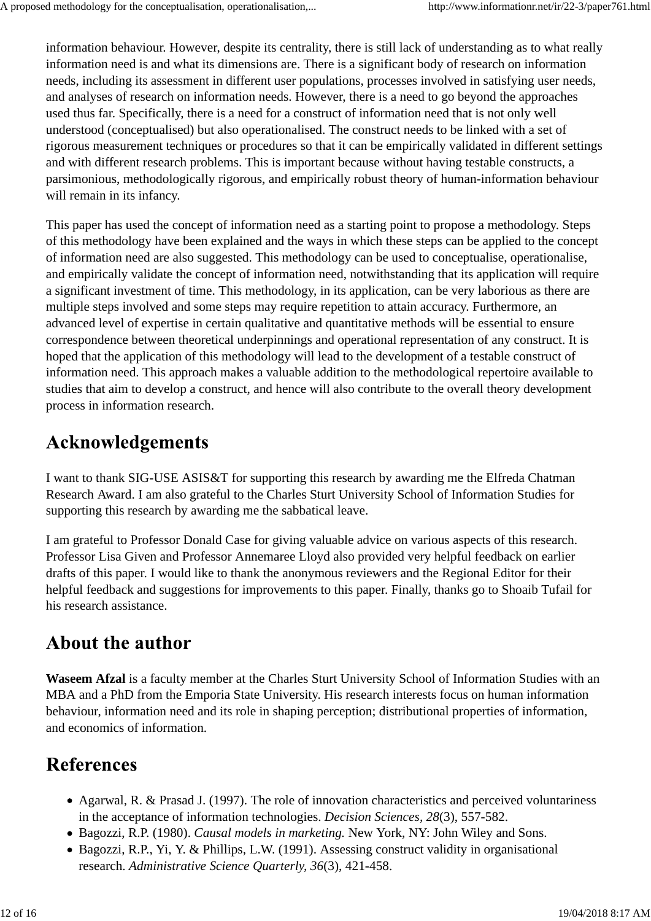information behaviour. However, despite its centrality, there is still lack of understanding as to what really information need is and what its dimensions are. There is a significant body of research on information needs, including its assessment in different user populations, processes involved in satisfying user needs, and analyses of research on information needs. However, there is a need to go beyond the approaches used thus far. Specifically, there is a need for a construct of information need that is not only well understood (conceptualised) but also operationalised. The construct needs to be linked with a set of rigorous measurement techniques or procedures so that it can be empirically validated in different settings and with different research problems. This is important because without having testable constructs, a parsimonious, methodologically rigorous, and empirically robust theory of human-information behaviour will remain in its infancy.

This paper has used the concept of information need as a starting point to propose a methodology. Steps of this methodology have been explained and the ways in which these steps can be applied to the concept of information need are also suggested. This methodology can be used to conceptualise, operationalise, and empirically validate the concept of information need, notwithstanding that its application will require a significant investment of time. This methodology, in its application, can be very laborious as there are multiple steps involved and some steps may require repetition to attain accuracy. Furthermore, an advanced level of expertise in certain qualitative and quantitative methods will be essential to ensure correspondence between theoretical underpinnings and operational representation of any construct. It is hoped that the application of this methodology will lead to the development of a testable construct of information need. This approach makes a valuable addition to the methodological repertoire available to studies that aim to develop a construct, and hence will also contribute to the overall theory development process in information research.

### **Acknowledgements**

I want to thank SIG-USE ASIS&T for supporting this research by awarding me the Elfreda Chatman Research Award. I am also grateful to the Charles Sturt University School of Information Studies for supporting this research by awarding me the sabbatical leave.

I am grateful to Professor Donald Case for giving valuable advice on various aspects of this research. Professor Lisa Given and Professor Annemaree Lloyd also provided very helpful feedback on earlier drafts of this paper. I would like to thank the anonymous reviewers and the Regional Editor for their helpful feedback and suggestions for improvements to this paper. Finally, thanks go to Shoaib Tufail for his research assistance.

## **About the author**

**Waseem Afzal** is a faculty member at the Charles Sturt University School of Information Studies with an MBA and a PhD from the Emporia State University. His research interests focus on human information behaviour, information need and its role in shaping perception; distributional properties of information, and economics of information.

# **References**

- Agarwal, R. & Prasad J. (1997). The role of innovation characteristics and perceived voluntariness in the acceptance of information technologies. *Decision Sciences, 28*(3), 557-582.
- Bagozzi, R.P. (1980). *Causal models in marketing.* New York, NY: John Wiley and Sons.
- Bagozzi, R.P., Yi, Y. & Phillips, L.W. (1991). Assessing construct validity in organisational research. *Administrative Science Quarterly, 36*(3), 421-458.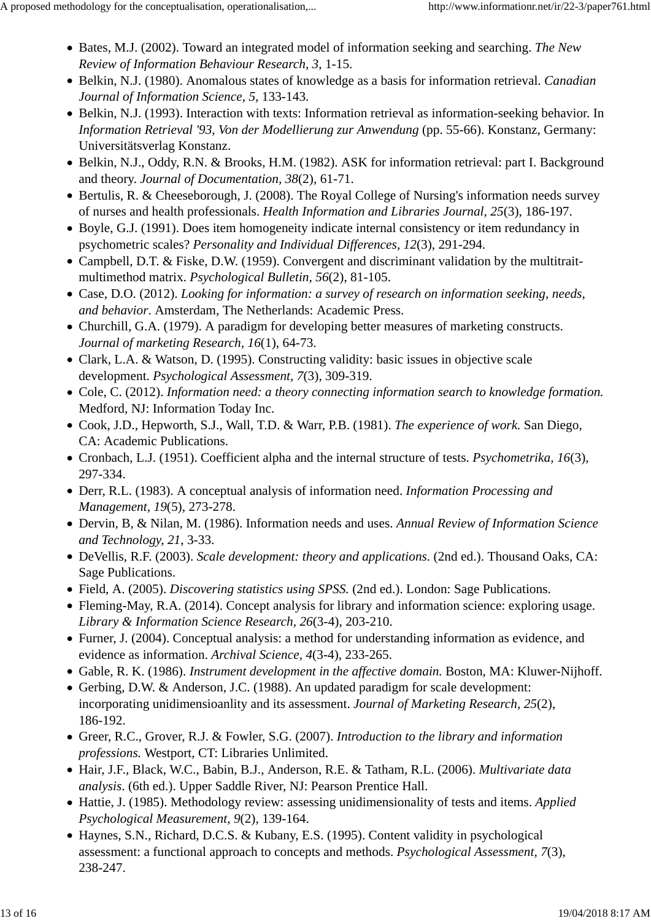- Bates, M.J. (2002). Toward an integrated model of information seeking and searching. *The New Review of Information Behaviour Research, 3*, 1-15.
- Belkin, N.J. (1980). Anomalous states of knowledge as a basis for information retrieval. *Canadian Journal of Information Science, 5*, 133-143.
- Belkin, N.J. (1993). Interaction with texts: Information retrieval as information-seeking behavior. In *Information Retrieval '93, Von der Modellierung zur Anwendung* (pp. 55-66). Konstanz, Germany: Universitätsverlag Konstanz.
- Belkin, N.J., Oddy, R.N. & Brooks, H.M. (1982). ASK for information retrieval: part I. Background and theory. *Journal of Documentation, 38*(2), 61-71.
- Bertulis, R. & Cheeseborough, J. (2008). The Royal College of Nursing's information needs survey of nurses and health professionals. *Health Information and Libraries Journal, 25*(3), 186-197.
- Boyle, G.J. (1991). Does item homogeneity indicate internal consistency or item redundancy in psychometric scales? *Personality and Individual Differences, 12*(3), 291-294.
- Campbell, D.T. & Fiske, D.W. (1959). Convergent and discriminant validation by the multitraitmultimethod matrix. *Psychological Bulletin, 56*(2), 81-105.
- Case, D.O. (2012). *Looking for information: a survey of research on information seeking, needs, and behavior*. Amsterdam, The Netherlands: Academic Press.
- Churchill, G.A. (1979). A paradigm for developing better measures of marketing constructs. *Journal of marketing Research, 16*(1), 64-73.
- Clark, L.A. & Watson, D. (1995). Constructing validity: basic issues in objective scale development. *Psychological Assessment, 7*(3), 309-319.
- Cole, C. (2012). *Information need: a theory connecting information search to knowledge formation.* Medford, NJ: Information Today Inc.
- Cook, J.D., Hepworth, S.J., Wall, T.D. & Warr, P.B. (1981). *The experience of work.* San Diego, CA: Academic Publications.
- Cronbach, L.J. (1951). Coefficient alpha and the internal structure of tests. *Psychometrika, 16*(3), 297-334.
- Derr, R.L. (1983). A conceptual analysis of information need. *Information Processing and Management, 19*(5), 273-278.
- Dervin, B, & Nilan, M. (1986). Information needs and uses. *Annual Review of Information Science and Technology, 21*, 3-33.
- DeVellis, R.F. (2003). *Scale development: theory and applications.* (2nd ed.). Thousand Oaks, CA: Sage Publications.
- Field, A. (2005). *Discovering statistics using SPSS.* (2nd ed.). London: Sage Publications.
- Fleming-May, R.A. (2014). Concept analysis for library and information science: exploring usage. *Library & Information Science Research, 26*(3-4), 203-210.
- Furner, J. (2004). Conceptual analysis: a method for understanding information as evidence, and evidence as information. *Archival Science, 4*(3-4), 233-265.
- Gable, R. K. (1986). *Instrument development in the affective domain.* Boston, MA: Kluwer-Nijhoff.
- Gerbing, D.W. & Anderson, J.C. (1988). An updated paradigm for scale development: incorporating unidimensioanlity and its assessment. *Journal of Marketing Research, 25*(2), 186-192.
- Greer, R.C., Grover, R.J. & Fowler, S.G. (2007). *Introduction to the library and information professions.* Westport, CT: Libraries Unlimited.
- Hair, J.F., Black, W.C., Babin, B.J., Anderson, R.E. & Tatham, R.L. (2006). *Multivariate data analysis*. (6th ed.). Upper Saddle River, NJ: Pearson Prentice Hall.
- Hattie, J. (1985). Methodology review: assessing unidimensionality of tests and items. *Applied Psychological Measurement, 9*(2), 139-164.
- Haynes, S.N., Richard, D.C.S. & Kubany, E.S. (1995). Content validity in psychological assessment: a functional approach to concepts and methods. *Psychological Assessment, 7*(3), 238-247.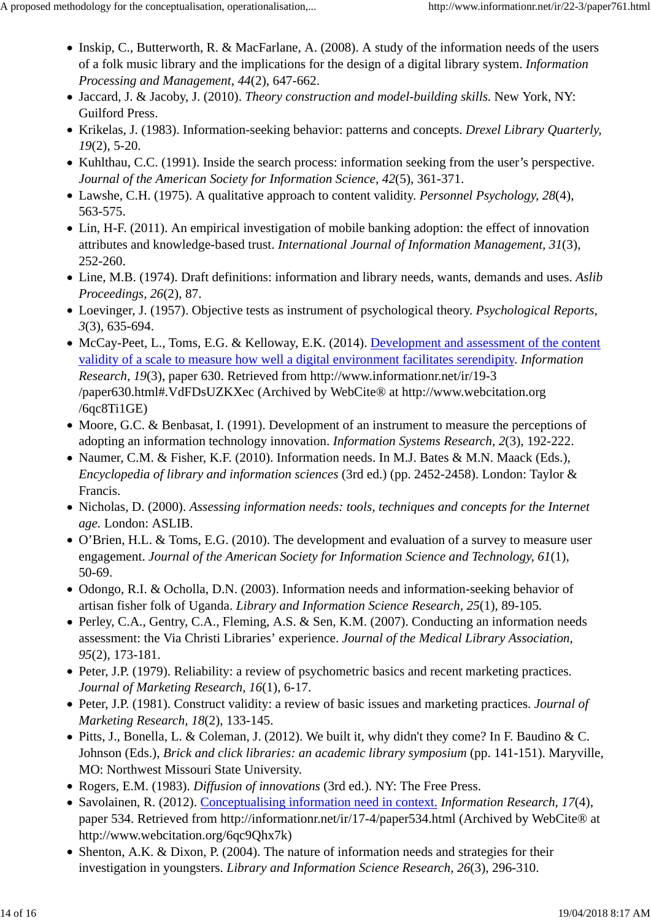- Inskip, C., Butterworth, R. & MacFarlane, A. (2008). A study of the information needs of the users of a folk music library and the implications for the design of a digital library system. *Information Processing and Management, 44*(2), 647-662.
- Jaccard, J. & Jacoby, J. (2010). *Theory construction and model-building skills*. New York, NY: Guilford Press.
- Krikelas, J. (1983). Information-seeking behavior: patterns and concepts. *Drexel Library Quarterly, 19*(2), 5-20.
- Kuhlthau, C.C. (1991). Inside the search process: information seeking from the user's perspective. *Journal of the American Society for Information Science, 42*(5), 361-371.
- Lawshe, C.H. (1975). A qualitative approach to content validity. *Personnel Psychology, 28*(4), 563-575.
- Lin, H-F. (2011). An empirical investigation of mobile banking adoption: the effect of innovation attributes and knowledge-based trust. *International Journal of Information Management, 31*(3), 252-260.
- Line, M.B. (1974). Draft definitions: information and library needs, wants, demands and uses. *Aslib Proceedings, 26*(2), 87.
- Loevinger, J. (1957). Objective tests as instrument of psychological theory. *Psychological Reports, 3*(3), 635-694.
- McCay-Peet, L., Toms, E.G. & Kelloway, E.K. (2014). Development and assessment of the content validity of a scale to measure how well a digital environment facilitates serendipity. *Information Research, 19*(3), paper 630. Retrieved from http://www.informationr.net/ir/19-3 /paper630.html#.VdFDsUZKXec (Archived by WebCite® at http://www.webcitation.org /6qc8Ti1GE)
- Moore, G.C. & Benbasat, I. (1991). Development of an instrument to measure the perceptions of adopting an information technology innovation. *Information Systems Research, 2*(3), 192-222.
- Naumer, C.M. & Fisher, K.F. (2010). Information needs. In M.J. Bates & M.N. Maack (Eds.), *Encyclopedia of library and information sciences* (3rd ed.) (pp. 2452-2458). London: Taylor & Francis.
- Nicholas, D. (2000). *Assessing information needs: tools, techniques and concepts for the Internet age.* London: ASLIB.
- O'Brien, H.L. & Toms, E.G. (2010). The development and evaluation of a survey to measure user engagement. *Journal of the American Society for Information Science and Technology, 61*(1), 50-69.
- Odongo, R.I. & Ocholla, D.N. (2003). Information needs and information-seeking behavior of artisan fisher folk of Uganda. *Library and Information Science Research, 25*(1), 89-105.
- Perley, C.A., Gentry, C.A., Fleming, A.S. & Sen, K.M. (2007). Conducting an information needs assessment: the Via Christi Libraries' experience. *Journal of the Medical Library Association, 95*(2), 173-181.
- Peter, J.P. (1979). Reliability: a review of psychometric basics and recent marketing practices. *Journal of Marketing Research, 16*(1), 6-17.
- Peter, J.P. (1981). Construct validity: a review of basic issues and marketing practices. *Journal of Marketing Research, 18*(2), 133-145.
- Pitts, J., Bonella, L. & Coleman, J. (2012). We built it, why didn't they come? In F. Baudino & C. Johnson (Eds.), *Brick and click libraries: an academic library symposium* (pp. 141-151). Maryville, MO: Northwest Missouri State University.
- Rogers, E.M. (1983). *Diffusion of innovations* (3rd ed.). NY: The Free Press.
- Savolainen, R. (2012). Conceptualising information need in context. *Information Research, 17*(4), paper 534. Retrieved from http://informationr.net/ir/17-4/paper534.html (Archived by WebCite® at http://www.webcitation.org/6qc9Qhx7k)
- Shenton, A.K. & Dixon, P. (2004). The nature of information needs and strategies for their investigation in youngsters. *Library and Information Science Research, 26*(3), 296-310.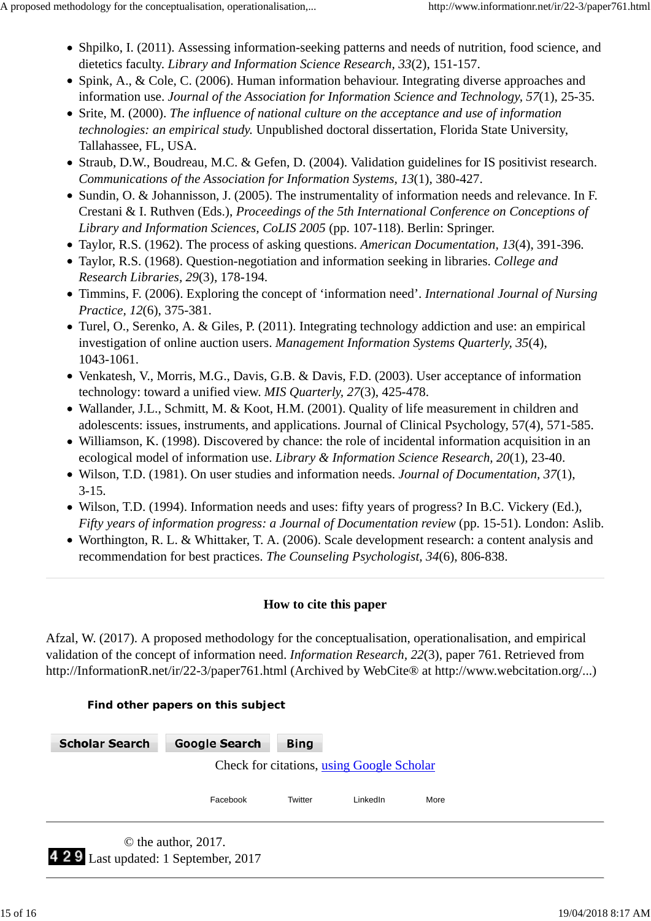- Shpilko, I. (2011). Assessing information-seeking patterns and needs of nutrition, food science, and dietetics faculty. *Library and Information Science Research, 33*(2), 151-157.
- Spink, A., & Cole, C. (2006). Human information behaviour. Integrating diverse approaches and information use. *Journal of the Association for Information Science and Technology, 57*(1), 25-35.
- Srite, M. (2000). *The influence of national culture on the acceptance and use of information technologies: an empirical study.* Unpublished doctoral dissertation, Florida State University, Tallahassee, FL, USA.
- Straub, D.W., Boudreau, M.C. & Gefen, D. (2004). Validation guidelines for IS positivist research. *Communications of the Association for Information Systems, 13*(1), 380-427.
- Sundin, O. & Johannisson, J. (2005). The instrumentality of information needs and relevance. In F. Crestani & I. Ruthven (Eds.), *Proceedings of the 5th International Conference on Conceptions of Library and Information Sciences, CoLIS 2005* (pp. 107-118). Berlin: Springer.
- Taylor, R.S. (1962). The process of asking questions. *American Documentation, 13*(4), 391-396.
- Taylor, R.S. (1968). Question-negotiation and information seeking in libraries. *College and Research Libraries, 29*(3), 178-194.
- Timmins, F. (2006). Exploring the concept of 'information need'. *International Journal of Nursing Practice, 12*(6), 375-381.
- Turel, O., Serenko, A. & Giles, P. (2011). Integrating technology addiction and use: an empirical investigation of online auction users. *Management Information Systems Quarterly, 35*(4), 1043-1061.
- Venkatesh, V., Morris, M.G., Davis, G.B. & Davis, F.D. (2003). User acceptance of information technology: toward a unified view. *MIS Quarterly, 27*(3), 425-478.
- Wallander, J.L., Schmitt, M. & Koot, H.M. (2001). Quality of life measurement in children and adolescents: issues, instruments, and applications. Journal of Clinical Psychology, 57(4), 571-585.
- Williamson, K. (1998). Discovered by chance: the role of incidental information acquisition in an ecological model of information use. *Library & Information Science Research, 20*(1), 23-40.
- Wilson, T.D. (1981). On user studies and information needs. *Journal of Documentation, 37*(1), 3-15.
- Wilson, T.D. (1994). Information needs and uses: fifty years of progress? In B.C. Vickery (Ed.), *Fifty years of information progress: a Journal of Documentation review* (pp. 15-51). London: Aslib.
- Worthington, R. L. & Whittaker, T. A. (2006). Scale development research: a content analysis and recommendation for best practices. *The Counseling Psychologist, 34*(6), 806-838.

#### **How to cite this paper**

Afzal, W. (2017). A proposed methodology for the conceptualisation, operationalisation, and empirical validation of the concept of information need. *Information Research, 22*(3), paper 761. Retrieved from http://InformationR.net/ir/22-3/paper761.html (Archived by WebCite® at http://www.webcitation.org/...)

#### **Find other papers on this subject**

| <b>Scholar Search</b>                 | <b>Google Search</b>                      | <b>Bing</b> |          |      |
|---------------------------------------|-------------------------------------------|-------------|----------|------|
|                                       | Check for citations, using Google Scholar |             |          |      |
|                                       | Facebook                                  | Twitter     | LinkedIn | More |
| 4 2 9 Last updated: 1 September, 2017 | $\odot$ the author, 2017.                 |             |          |      |